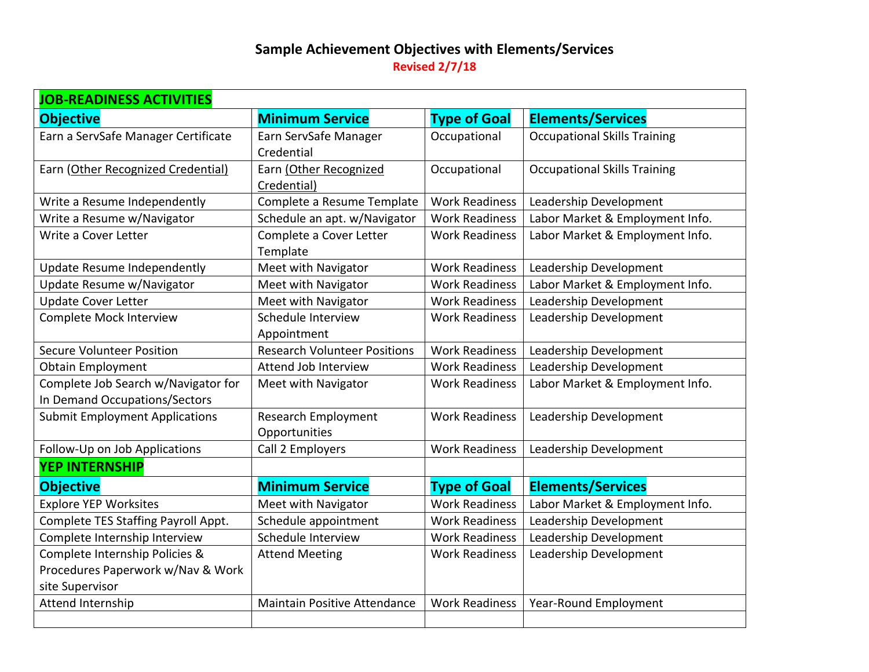## **Sample Achievement Objectives with Elements/Services Revised 2/7/18**

| <b>JOB-READINESS ACTIVITIES</b>                                      |                                             |                       |                                     |
|----------------------------------------------------------------------|---------------------------------------------|-----------------------|-------------------------------------|
| <b>Objective</b>                                                     | <b>Minimum Service</b>                      | <b>Type of Goal</b>   | <b>Elements/Services</b>            |
| Earn a ServSafe Manager Certificate                                  | Earn ServSafe Manager<br>Credential         | Occupational          | <b>Occupational Skills Training</b> |
| Earn (Other Recognized Credential)                                   | Earn (Other Recognized<br>Credential)       | Occupational          | <b>Occupational Skills Training</b> |
| Write a Resume Independently                                         | Complete a Resume Template                  | <b>Work Readiness</b> | Leadership Development              |
| Write a Resume w/Navigator                                           | Schedule an apt. w/Navigator                | <b>Work Readiness</b> | Labor Market & Employment Info.     |
| Write a Cover Letter                                                 | Complete a Cover Letter<br>Template         | <b>Work Readiness</b> | Labor Market & Employment Info.     |
| <b>Update Resume Independently</b>                                   | Meet with Navigator                         | <b>Work Readiness</b> | Leadership Development              |
| Update Resume w/Navigator                                            | Meet with Navigator                         | <b>Work Readiness</b> | Labor Market & Employment Info.     |
| <b>Update Cover Letter</b>                                           | Meet with Navigator                         | <b>Work Readiness</b> | Leadership Development              |
| <b>Complete Mock Interview</b>                                       | Schedule Interview<br>Appointment           | <b>Work Readiness</b> | Leadership Development              |
| <b>Secure Volunteer Position</b>                                     | <b>Research Volunteer Positions</b>         | <b>Work Readiness</b> | Leadership Development              |
| <b>Obtain Employment</b>                                             | Attend Job Interview                        | <b>Work Readiness</b> | Leadership Development              |
| Complete Job Search w/Navigator for<br>In Demand Occupations/Sectors | Meet with Navigator                         | <b>Work Readiness</b> | Labor Market & Employment Info.     |
| <b>Submit Employment Applications</b>                                | <b>Research Employment</b><br>Opportunities | <b>Work Readiness</b> | Leadership Development              |
| Follow-Up on Job Applications                                        | Call 2 Employers                            | <b>Work Readiness</b> | Leadership Development              |
| <b>YEP INTERNSHIP</b>                                                |                                             |                       |                                     |
| <b>Objective</b>                                                     | <b>Minimum Service</b>                      | <b>Type of Goal</b>   | <b>Elements/Services</b>            |
| <b>Explore YEP Worksites</b>                                         | Meet with Navigator                         | <b>Work Readiness</b> | Labor Market & Employment Info.     |
| Complete TES Staffing Payroll Appt.                                  | Schedule appointment                        | <b>Work Readiness</b> | Leadership Development              |
| Complete Internship Interview                                        | Schedule Interview                          | <b>Work Readiness</b> | Leadership Development              |
| Complete Internship Policies &                                       | <b>Attend Meeting</b>                       | <b>Work Readiness</b> | Leadership Development              |
| Procedures Paperwork w/Nav & Work                                    |                                             |                       |                                     |
| site Supervisor                                                      |                                             |                       |                                     |
| Attend Internship                                                    | <b>Maintain Positive Attendance</b>         | <b>Work Readiness</b> | Year-Round Employment               |
|                                                                      |                                             |                       |                                     |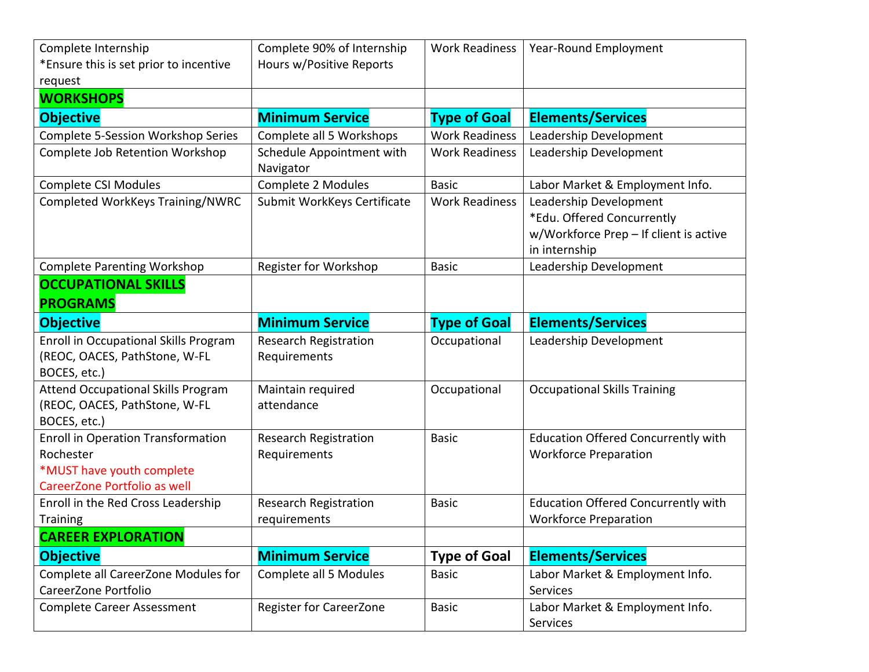| Complete Internship                                                                                                 | Complete 90% of Internship                   | <b>Work Readiness</b> | Year-Round Employment                                                                                           |
|---------------------------------------------------------------------------------------------------------------------|----------------------------------------------|-----------------------|-----------------------------------------------------------------------------------------------------------------|
| *Ensure this is set prior to incentive                                                                              | Hours w/Positive Reports                     |                       |                                                                                                                 |
| request                                                                                                             |                                              |                       |                                                                                                                 |
| <b>WORKSHOPS</b>                                                                                                    |                                              |                       |                                                                                                                 |
| <b>Objective</b>                                                                                                    | <b>Minimum Service</b>                       | <b>Type of Goal</b>   | <b>Elements/Services</b>                                                                                        |
| <b>Complete 5-Session Workshop Series</b>                                                                           | Complete all 5 Workshops                     | <b>Work Readiness</b> | Leadership Development                                                                                          |
| Complete Job Retention Workshop                                                                                     | Schedule Appointment with<br>Navigator       | <b>Work Readiness</b> | Leadership Development                                                                                          |
| <b>Complete CSI Modules</b>                                                                                         | Complete 2 Modules                           | <b>Basic</b>          | Labor Market & Employment Info.                                                                                 |
| Completed WorkKeys Training/NWRC                                                                                    | Submit WorkKeys Certificate                  | <b>Work Readiness</b> | Leadership Development<br>*Edu. Offered Concurrently<br>w/Workforce Prep - If client is active<br>in internship |
| <b>Complete Parenting Workshop</b>                                                                                  | Register for Workshop                        | <b>Basic</b>          | Leadership Development                                                                                          |
| <b>OCCUPATIONAL SKILLS</b>                                                                                          |                                              |                       |                                                                                                                 |
| <b>PROGRAMS</b>                                                                                                     |                                              |                       |                                                                                                                 |
| <b>Objective</b>                                                                                                    | <b>Minimum Service</b>                       | <b>Type of Goal</b>   | <b>Elements/Services</b>                                                                                        |
|                                                                                                                     |                                              |                       |                                                                                                                 |
| Enroll in Occupational Skills Program<br>(REOC, OACES, PathStone, W-FL<br>BOCES, etc.)                              | <b>Research Registration</b><br>Requirements | Occupational          | Leadership Development                                                                                          |
| <b>Attend Occupational Skills Program</b><br>(REOC, OACES, PathStone, W-FL<br>BOCES, etc.)                          | Maintain required<br>attendance              | Occupational          | <b>Occupational Skills Training</b>                                                                             |
| <b>Enroll in Operation Transformation</b><br>Rochester<br>*MUST have youth complete<br>CareerZone Portfolio as well | <b>Research Registration</b><br>Requirements | <b>Basic</b>          | <b>Education Offered Concurrently with</b><br><b>Workforce Preparation</b>                                      |
| Enroll in the Red Cross Leadership<br><b>Training</b>                                                               | <b>Research Registration</b><br>requirements | <b>Basic</b>          | <b>Education Offered Concurrently with</b><br><b>Workforce Preparation</b>                                      |
| <b>CAREER EXPLORATION</b>                                                                                           |                                              |                       |                                                                                                                 |
| <b>Objective</b>                                                                                                    | <b>Minimum Service</b>                       | <b>Type of Goal</b>   | <b>Elements/Services</b>                                                                                        |
| Complete all CareerZone Modules for<br>CareerZone Portfolio                                                         | Complete all 5 Modules                       | <b>Basic</b>          | Labor Market & Employment Info.<br>Services                                                                     |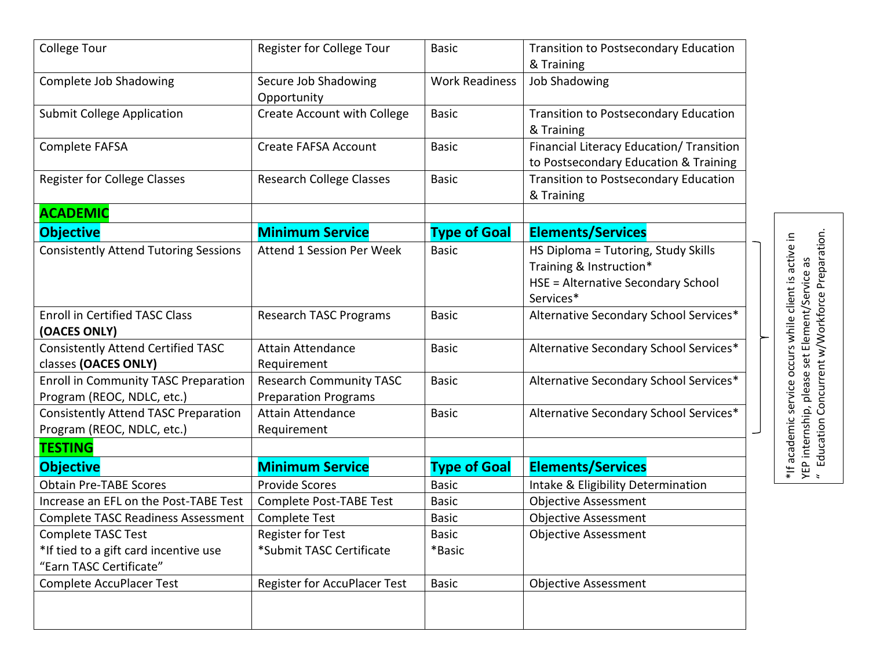| <b>College Tour</b>                                                       |                                                               |                       |                                                                                                                   |
|---------------------------------------------------------------------------|---------------------------------------------------------------|-----------------------|-------------------------------------------------------------------------------------------------------------------|
|                                                                           | Register for College Tour                                     | <b>Basic</b>          | <b>Transition to Postsecondary Education</b>                                                                      |
|                                                                           |                                                               |                       | & Training                                                                                                        |
| Complete Job Shadowing                                                    | Secure Job Shadowing<br>Opportunity                           | <b>Work Readiness</b> | <b>Job Shadowing</b>                                                                                              |
| <b>Submit College Application</b>                                         | <b>Create Account with College</b>                            | <b>Basic</b>          | <b>Transition to Postsecondary Education</b><br>& Training                                                        |
| Complete FAFSA                                                            | <b>Create FAFSA Account</b>                                   | <b>Basic</b>          | Financial Literacy Education/ Transition<br>to Postsecondary Education & Training                                 |
| <b>Register for College Classes</b>                                       | <b>Research College Classes</b>                               | <b>Basic</b>          | <b>Transition to Postsecondary Education</b><br>& Training                                                        |
| <b>ACADEMIC</b>                                                           |                                                               |                       |                                                                                                                   |
| <b>Objective</b>                                                          | <b>Minimum Service</b>                                        | <b>Type of Goal</b>   | <b>Elements/Services</b>                                                                                          |
| <b>Consistently Attend Tutoring Sessions</b>                              | <b>Attend 1 Session Per Week</b>                              | <b>Basic</b>          | HS Diploma = Tutoring, Study Skills<br>Training & Instruction*<br>HSE = Alternative Secondary School<br>Services* |
| <b>Enroll in Certified TASC Class</b><br>(OACES ONLY)                     | <b>Research TASC Programs</b>                                 | <b>Basic</b>          | Alternative Secondary School Services*                                                                            |
| <b>Consistently Attend Certified TASC</b><br>classes (OACES ONLY)         | <b>Attain Attendance</b><br>Requirement                       | <b>Basic</b>          | Alternative Secondary School Services*                                                                            |
| <b>Enroll in Community TASC Preparation</b><br>Program (REOC, NDLC, etc.) | <b>Research Community TASC</b><br><b>Preparation Programs</b> | <b>Basic</b>          | Alternative Secondary School Services*                                                                            |
| <b>Consistently Attend TASC Preparation</b><br>Program (REOC, NDLC, etc.) | <b>Attain Attendance</b><br>Requirement                       | <b>Basic</b>          | Alternative Secondary School Services*                                                                            |
| <b>TESTING</b>                                                            |                                                               |                       |                                                                                                                   |
| <b>Objective</b>                                                          | <b>Minimum Service</b>                                        | <b>Type of Goal</b>   | <b>Elements/Services</b>                                                                                          |
| <b>Obtain Pre-TABE Scores</b>                                             | <b>Provide Scores</b>                                         | <b>Basic</b>          | Intake & Eligibility Determination                                                                                |
| Increase an EFL on the Post-TABE Test                                     | <b>Complete Post-TABE Test</b>                                | <b>Basic</b>          | <b>Objective Assessment</b>                                                                                       |
| <b>Complete TASC Readiness Assessment</b>                                 | <b>Complete Test</b>                                          | <b>Basic</b>          | <b>Objective Assessment</b>                                                                                       |
| Complete TASC Test<br>*If tied to a gift card incentive use               | Register for Test<br>*Submit TASC Certificate                 | Basic<br>*Basic       | <b>Objective Assessment</b>                                                                                       |
| "Earn TASC Certificate"                                                   |                                                               |                       |                                                                                                                   |

YEP internship, please set Element/Service as<br>" Education Concurrent w/Workforce Preparation. " Education Concurrent w/Workforce Preparation.YEP internship, please set Element/Service as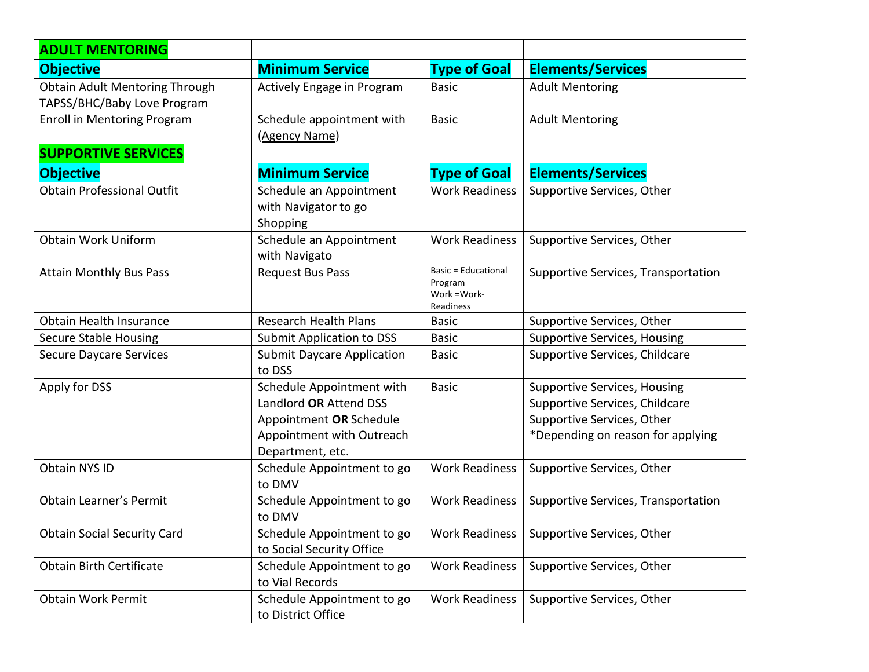| <b>ADULT MENTORING</b>                                               |                                                                                                                                 |                                                                    |                                                                                                                                          |
|----------------------------------------------------------------------|---------------------------------------------------------------------------------------------------------------------------------|--------------------------------------------------------------------|------------------------------------------------------------------------------------------------------------------------------------------|
| <b>Objective</b>                                                     | <b>Minimum Service</b>                                                                                                          | <b>Type of Goal</b>                                                | <b>Elements/Services</b>                                                                                                                 |
| <b>Obtain Adult Mentoring Through</b><br>TAPSS/BHC/Baby Love Program | Actively Engage in Program                                                                                                      | <b>Basic</b>                                                       | <b>Adult Mentoring</b>                                                                                                                   |
| <b>Enroll in Mentoring Program</b>                                   | Schedule appointment with<br>(Agency Name)                                                                                      | <b>Basic</b>                                                       | <b>Adult Mentoring</b>                                                                                                                   |
| <b>SUPPORTIVE SERVICES</b>                                           |                                                                                                                                 |                                                                    |                                                                                                                                          |
| <b>Objective</b>                                                     | <b>Minimum Service</b>                                                                                                          | <b>Type of Goal</b>                                                | <b>Elements/Services</b>                                                                                                                 |
| <b>Obtain Professional Outfit</b>                                    | Schedule an Appointment<br>with Navigator to go<br>Shopping                                                                     | <b>Work Readiness</b>                                              | Supportive Services, Other                                                                                                               |
| <b>Obtain Work Uniform</b>                                           | Schedule an Appointment<br>with Navigato                                                                                        | <b>Work Readiness</b>                                              | Supportive Services, Other                                                                                                               |
| <b>Attain Monthly Bus Pass</b>                                       | <b>Request Bus Pass</b>                                                                                                         | <b>Basic = Educational</b><br>Program<br>Work = Work-<br>Readiness | Supportive Services, Transportation                                                                                                      |
| <b>Obtain Health Insurance</b>                                       | <b>Research Health Plans</b>                                                                                                    | <b>Basic</b>                                                       | Supportive Services, Other                                                                                                               |
| <b>Secure Stable Housing</b>                                         | <b>Submit Application to DSS</b>                                                                                                | <b>Basic</b>                                                       | <b>Supportive Services, Housing</b>                                                                                                      |
| <b>Secure Daycare Services</b>                                       | <b>Submit Daycare Application</b><br>to DSS                                                                                     | <b>Basic</b>                                                       | Supportive Services, Childcare                                                                                                           |
| Apply for DSS                                                        | Schedule Appointment with<br>Landlord OR Attend DSS<br>Appointment OR Schedule<br>Appointment with Outreach<br>Department, etc. | <b>Basic</b>                                                       | <b>Supportive Services, Housing</b><br>Supportive Services, Childcare<br>Supportive Services, Other<br>*Depending on reason for applying |
| Obtain NYS ID                                                        | Schedule Appointment to go<br>to DMV                                                                                            | <b>Work Readiness</b>                                              | Supportive Services, Other                                                                                                               |
| <b>Obtain Learner's Permit</b>                                       | Schedule Appointment to go<br>to DMV                                                                                            | <b>Work Readiness</b>                                              | Supportive Services, Transportation                                                                                                      |
| <b>Obtain Social Security Card</b>                                   | Schedule Appointment to go<br>to Social Security Office                                                                         | <b>Work Readiness</b>                                              | Supportive Services, Other                                                                                                               |
| <b>Obtain Birth Certificate</b>                                      | Schedule Appointment to go<br>to Vial Records                                                                                   | <b>Work Readiness</b>                                              | Supportive Services, Other                                                                                                               |
| <b>Obtain Work Permit</b>                                            | Schedule Appointment to go<br>to District Office                                                                                | <b>Work Readiness</b>                                              | Supportive Services, Other                                                                                                               |